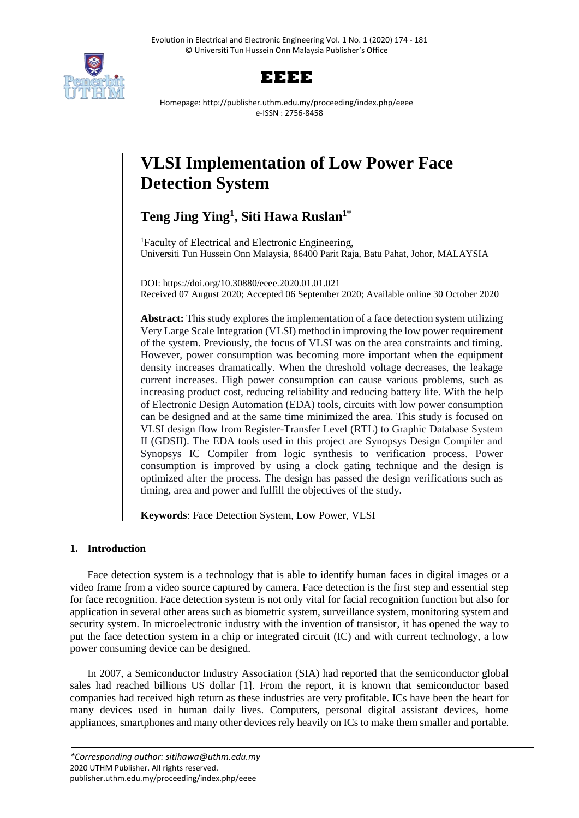



Homepage: http://publisher.uthm.edu.my/proceeding/index.php/eeee e-ISSN : 2756-8458

# **VLSI Implementation of Low Power Face Detection System**

# **Teng Jing Ying<sup>1</sup> , Siti Hawa Ruslan1\***

<sup>1</sup>Faculty of Electrical and Electronic Engineering, Universiti Tun Hussein Onn Malaysia, 86400 Parit Raja, Batu Pahat, Johor, MALAYSIA

DOI: https://doi.org/10.30880/eeee.2020.01.01.021 Received 07 August 2020; Accepted 06 September 2020; Available online 30 October 2020

**Abstract:** This study explores the implementation of a face detection system utilizing Very Large Scale Integration (VLSI) method in improving the low power requirement of the system. Previously, the focus of VLSI was on the area constraints and timing. However, power consumption was becoming more important when the equipment density increases dramatically. When the threshold voltage decreases, the leakage current increases. High power consumption can cause various problems, such as increasing product cost, reducing reliability and reducing battery life. With the help of Electronic Design Automation (EDA) tools, circuits with low power consumption can be designed and at the same time minimized the area. This study is focused on VLSI design flow from Register-Transfer Level (RTL) to Graphic Database System II (GDSII). The EDA tools used in this project are Synopsys Design Compiler and Synopsys IC Compiler from logic synthesis to verification process. Power consumption is improved by using a clock gating technique and the design is optimized after the process. The design has passed the design verifications such as timing, area and power and fulfill the objectives of the study.

**Keywords**: Face Detection System, Low Power, VLSI

### **1. Introduction**

Face detection system is a technology that is able to identify human faces in digital images or a video frame from a video source captured by camera. Face detection is the first step and essential step for face recognition. Face detection system is not only vital for facial recognition function but also for application in several other areas such as biometric system, surveillance system, monitoring system and security system. In microelectronic industry with the invention of transistor, it has opened the way to put the face detection system in a chip or integrated circuit (IC) and with current technology, a low power consuming device can be designed.

In 2007, a Semiconductor Industry Association (SIA) had reported that the semiconductor global sales had reached billions US dollar [1]. From the report, it is known that semiconductor based companies had received high return as these industries are very profitable. ICs have been the heart for many devices used in human daily lives. Computers, personal digital assistant devices, home appliances, smartphones and many other devices rely heavily on ICs to make them smaller and portable.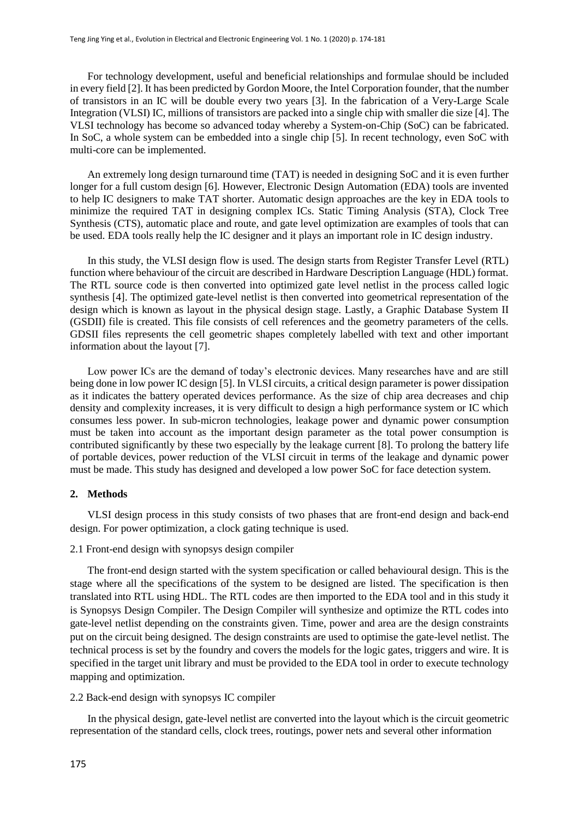For technology development, useful and beneficial relationships and formulae should be included in every field [2]. It has been predicted by Gordon Moore, the Intel Corporation founder, that the number of transistors in an IC will be double every two years [3]. In the fabrication of a Very-Large Scale Integration (VLSI) IC, millions of transistors are packed into a single chip with smaller die size [4]. The VLSI technology has become so advanced today whereby a System-on-Chip (SoC) can be fabricated. In SoC, a whole system can be embedded into a single chip [5]. In recent technology, even SoC with multi-core can be implemented.

An extremely long design turnaround time (TAT) is needed in designing SoC and it is even further longer for a full custom design [6]. However, Electronic Design Automation (EDA) tools are invented to help IC designers to make TAT shorter. Automatic design approaches are the key in EDA tools to minimize the required TAT in designing complex ICs. Static Timing Analysis (STA), Clock Tree Synthesis (CTS), automatic place and route, and gate level optimization are examples of tools that can be used. EDA tools really help the IC designer and it plays an important role in IC design industry.

In this study, the VLSI design flow is used. The design starts from Register Transfer Level (RTL) function where behaviour of the circuit are described in Hardware Description Language (HDL) format. The RTL source code is then converted into optimized gate level netlist in the process called logic synthesis [4]. The optimized gate-level netlist is then converted into geometrical representation of the design which is known as layout in the physical design stage. Lastly, a Graphic Database System II (GSDII) file is created. This file consists of cell references and the geometry parameters of the cells. GDSII files represents the cell geometric shapes completely labelled with text and other important information about the layout [7].

Low power ICs are the demand of today's electronic devices. Many researches have and are still being done in low power IC design [5]. In VLSI circuits, a critical design parameter is power dissipation as it indicates the battery operated devices performance. As the size of chip area decreases and chip density and complexity increases, it is very difficult to design a high performance system or IC which consumes less power. In sub-micron technologies, leakage power and dynamic power consumption must be taken into account as the important design parameter as the total power consumption is contributed significantly by these two especially by the leakage current [8]. To prolong the battery life of portable devices, power reduction of the VLSI circuit in terms of the leakage and dynamic power must be made. This study has designed and developed a low power SoC for face detection system.

#### **2. Methods**

VLSI design process in this study consists of two phases that are front-end design and back-end design. For power optimization, a clock gating technique is used.

#### 2.1 Front-end design with synopsys design compiler

The front-end design started with the system specification or called behavioural design. This is the stage where all the specifications of the system to be designed are listed. The specification is then translated into RTL using HDL. The RTL codes are then imported to the EDA tool and in this study it is Synopsys Design Compiler. The Design Compiler will synthesize and optimize the RTL codes into gate-level netlist depending on the constraints given. Time, power and area are the design constraints put on the circuit being designed. The design constraints are used to optimise the gate-level netlist. The technical process is set by the foundry and covers the models for the logic gates, triggers and wire. It is specified in the target unit library and must be provided to the EDA tool in order to execute technology mapping and optimization.

#### 2.2 Back-end design with synopsys IC compiler

In the physical design, gate-level netlist are converted into the layout which is the circuit geometric representation of the standard cells, clock trees, routings, power nets and several other information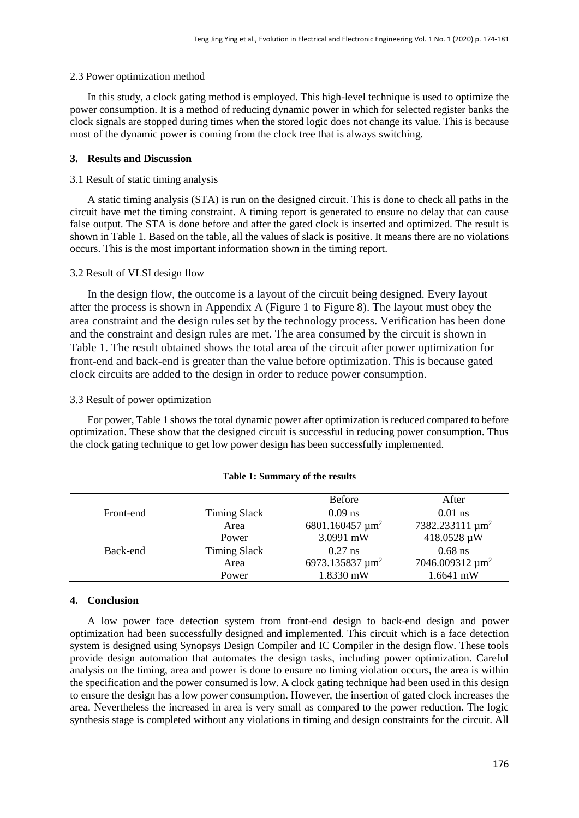#### 2.3 Power optimization method

In this study, a clock gating method is employed. This high-level technique is used to optimize the power consumption. It is a method of reducing dynamic power in which for selected register banks the clock signals are stopped during times when the stored logic does not change its value. This is because most of the dynamic power is coming from the clock tree that is always switching.

#### **3. Results and Discussion**

#### 3.1 Result of static timing analysis

A static timing analysis (STA) is run on the designed circuit. This is done to check all paths in the circuit have met the timing constraint. A timing report is generated to ensure no delay that can cause false output. The STA is done before and after the gated clock is inserted and optimized. The result is shown in Table 1. Based on the table, all the values of slack is positive. It means there are no violations occurs. This is the most important information shown in the timing report.

#### 3.2 Result of VLSI design flow

In the design flow, the outcome is a layout of the circuit being designed. Every layout after the process is shown in Appendix A (Figure 1 to Figure 8). The layout must obey the area constraint and the design rules set by the technology process. Verification has been done and the constraint and design rules are met. The area consumed by the circuit is shown in Table 1. The result obtained shows the total area of the circuit after power optimization for front-end and back-end is greater than the value before optimization. This is because gated clock circuits are added to the design in order to reduce power consumption.

#### 3.3 Result of power optimization

For power, Table 1 shows the total dynamic power after optimization is reduced compared to before optimization. These show that the designed circuit is successful in reducing power consumption. Thus the clock gating technique to get low power design has been successfully implemented.

|           |                     | <b>Before</b>                    | After                       |
|-----------|---------------------|----------------------------------|-----------------------------|
| Front-end | <b>Timing Slack</b> | $0.09$ ns                        | $0.01$ ns                   |
|           | Area                | 6801.160457 $\mu$ m <sup>2</sup> | 7382.233111 µm <sup>2</sup> |
|           | Power               | 3.0991 mW                        | 418.0528 µW                 |
| Back-end  | <b>Timing Slack</b> | $0.27$ ns                        | $0.68$ ns                   |
|           | Area                | 6973.135837 $\mu$ m <sup>2</sup> | 7046.009312 µm <sup>2</sup> |
|           | Power               | 1.8330 mW                        | 1.6641 mW                   |

#### **Table 1: Summary of the results**

#### **4. Conclusion**

A low power face detection system from front-end design to back-end design and power optimization had been successfully designed and implemented. This circuit which is a face detection system is designed using Synopsys Design Compiler and IC Compiler in the design flow. These tools provide design automation that automates the design tasks, including power optimization. Careful analysis on the timing, area and power is done to ensure no timing violation occurs, the area is within the specification and the power consumed is low. A clock gating technique had been used in this design to ensure the design has a low power consumption. However, the insertion of gated clock increases the area. Nevertheless the increased in area is very small as compared to the power reduction. The logic synthesis stage is completed without any violations in timing and design constraints for the circuit. All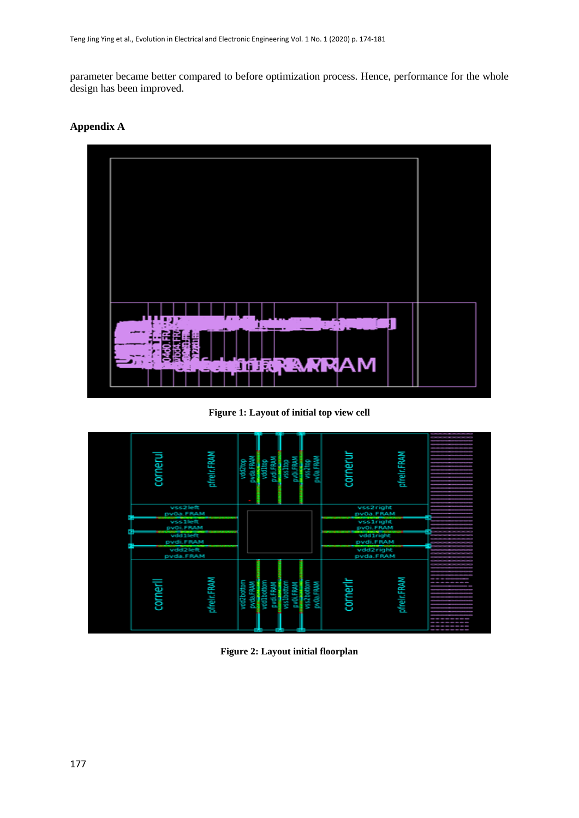parameter became better compared to before optimization process. Hence, performance for the whole design has been improved.

## **Appendix A**



**Figure 1: Layout of initial top view cell**



**Figure 2: Layout initial floorplan**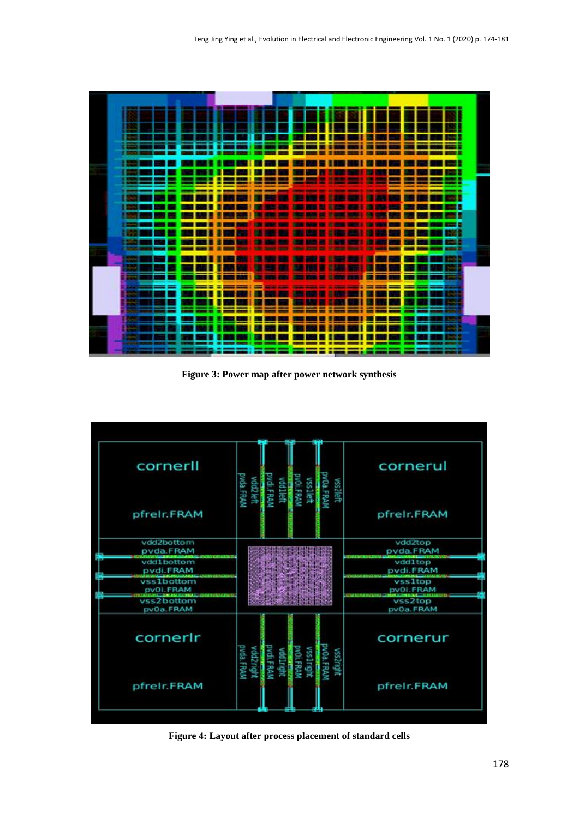

**Figure 3: Power map after power network synthesis**



**Figure 4: Layout after process placement of standard cells**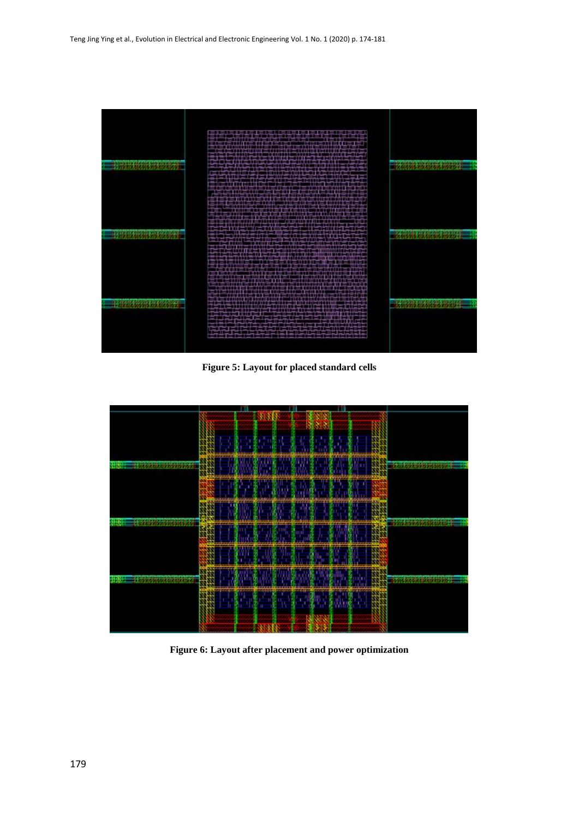

**Figure 5: Layout for placed standard cells**



**Figure 6: Layout after placement and power optimization**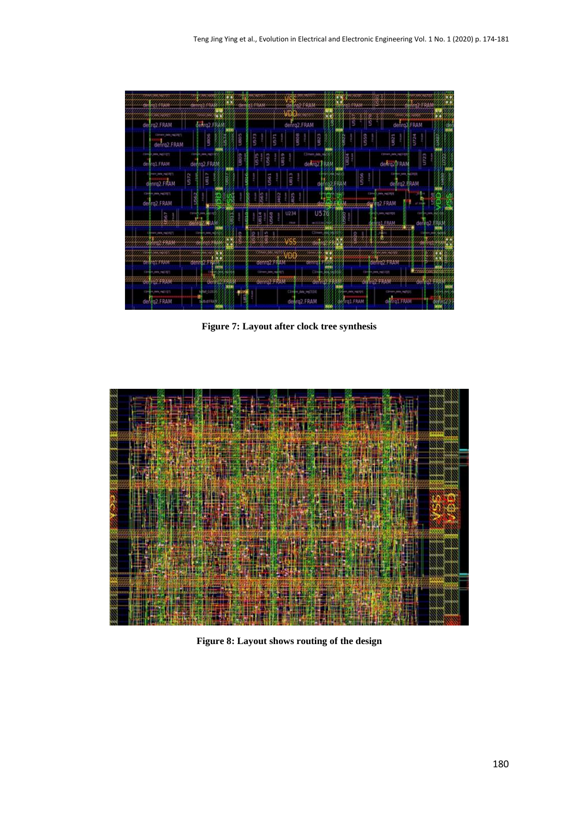

**Figure 7: Layout after clock tree synthesis**



**Figure 8: Layout shows routing of the design**